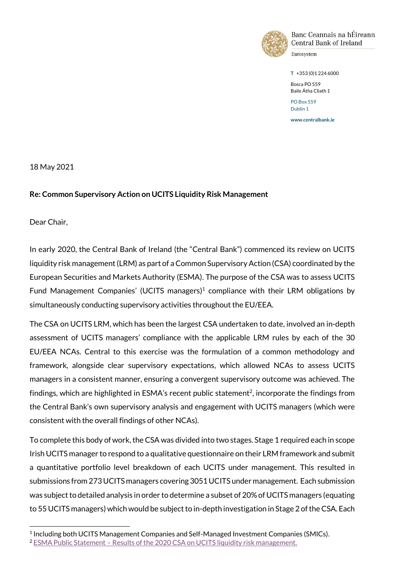

Banc Ceannais na hÉireann Central Bank of Ireland

Eurosystem

**T** +353 (0)1 224 6000

Bosca PO 559 Baile Átha Cliath 1 PO Box 559

Dublin 1 **www.centralbank.ie**

18 May 2021

# **Re: Common Supervisory Action on UCITS Liquidity Risk Management**

Dear Chair,

ı

In early 2020, the Central Bank of Ireland (the "Central Bank") commenced its review on UCITS liquidity risk management (LRM) as part of aCommon Supervisory Action (CSA) coordinated by the European Securities and Markets Authority (ESMA). The purpose of the CSA was to assess UCITS Fund Management Companies' (UCITS managers)<sup>1</sup> compliance with their LRM obligations by simultaneously conducting supervisory activities throughout the EU/EEA.

The CSA on UCITS LRM, which has been the largest CSA undertaken to date, involved an in-depth assessment of UCITS managers' compliance with the applicable LRM rules by each of the 30 EU/EEA NCAs. Central to this exercise was the formulation of a common methodology and framework, alongside clear supervisory expectations, which allowed NCAs to assess UCITS managers in a consistent manner, ensuring a convergent supervisory outcome was achieved. The findings, which are highlighted in ESMA's recent public statement<sup>2</sup>, incorporate the findings from the Central Bank's own supervisory analysis and engagement with UCITS managers (which were consistent with the overall findings of other NCAs).

To complete this body of work, the CSA was divided into two stages. Stage 1 required each in scope Irish UCITS manager to respond to a qualitative questionnaire on their LRM framework and submit a quantitative portfolio level breakdown of each UCITS under management. This resulted in submissions from 273 UCITS managers covering 3051 UCITS under management. Each submission was subject to detailed analysis in order to determine a subset of 20% of UCITS managers (equating to 55 UCITS managers) which would be subject to in-depth investigation in Stage 2 of the CSA. Each

<sup>1</sup> Including both UCITS Management Companies and Self-Managed Investment Companies (SMICs).

<sup>&</sup>lt;sup>2</sup> ESMA Public Statement – [Results of the 2020 CSA on UCITS liquidity risk management.](https://www.esma.europa.eu/sites/default/files/library/esma_34-43-880-_public_statement_-_2020_csa_ucits_liquidity_risks_management.pdf)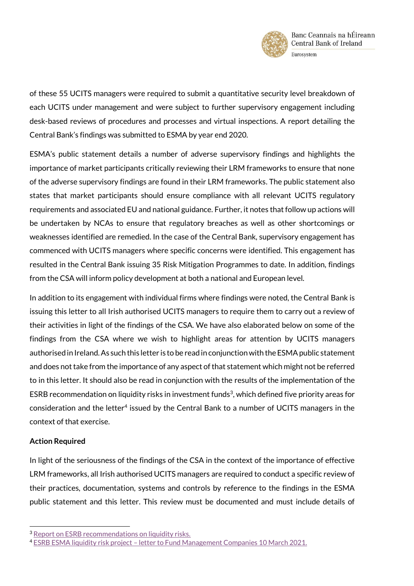

of these 55 UCITS managers were required to submit a quantitative security level breakdown of each UCITS under management and were subject to further supervisory engagement including desk-based reviews of procedures and processes and virtual inspections. A report detailing the Central Bank's findings was submitted to ESMA by year end 2020.

ESMA's public statement details a number of adverse supervisory findings and highlights the importance of market participants critically reviewing their LRM frameworks to ensure that none of the adverse supervisory findings are found in their LRM frameworks. The public statement also states that market participants should ensure compliance with all relevant UCITS regulatory requirements and associated EU and national guidance. Further, it notes that follow up actions will be undertaken by NCAs to ensure that regulatory breaches as well as other shortcomings or weaknesses identified are remedied. In the case of the Central Bank, supervisory engagement has commenced with UCITS managers where specific concerns were identified. This engagement has resulted in the Central Bank issuing 35 Risk Mitigation Programmes to date. In addition, findings from the CSA will inform policy development at both a national and European level.

In addition to its engagement with individual firms where findings were noted, the Central Bank is issuing this letter to all Irish authorised UCITS managers to require them to carry out a review of their activities in light of the findings of the CSA. We have also elaborated below on some of the findings from the CSA where we wish to highlight areas for attention by UCITS managers authorised in Ireland. As such this letter is to be read in conjunction with the ESMA public statement and does not take from the importance of any aspect of that statement which might not be referred to in this letter. It should also be read in conjunction with the results of the implementation of the ESRB recommendation on liquidity risks in investment funds<sup>3</sup>, which defined five priority areas for  $\epsilon$ onsideration and the letter $^4$  issued by the Central Bank to a number of UCITS managers in the context of that exercise.

# **Action Required**

ı

In light of the seriousness of the findings of the CSA in the context of the importance of effective LRM frameworks, all Irish authorised UCITS managers are required to conduct a specific review of their practices, documentation, systems and controls by reference to the findings in the ESMA public statement and this letter. This review must be documented and must include details of

<sup>&</sup>lt;sup>3</sup> [Report on ESRB recommendations on liquidity risks.](https://www.esma.europa.eu/sites/default/files/library/esma34-39-1119-report_on_the_esrb_recommendation_on_liquidity_risks_in_funds.pdf)

<sup>4</sup> ESRB ESMA liquidity risk project – [letter to Fund Management Companies 10 March 2021.](https://www.centralbank.ie/docs/default-source/regulation/industry-market-sectors/funds/industry-communications/esrb-esma-liquidity-risk-project---letter-to-fund-management-companies-10-march-2021.pdf?sfvrsn=8)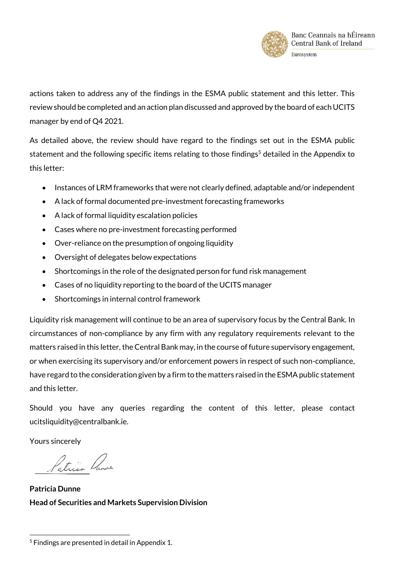

actions taken to address any of the findings in the ESMA public statement and this letter. This review should be completed and an action plan discussed and approved by the board of each UCITS manager by end of Q4 2021.

As detailed above, the review should have regard to the findings set out in the ESMA public statement and the following specific items relating to those findings<sup>5</sup> detailed in the Appendix to this letter:

- Instances of LRM frameworks that were not clearly defined, adaptable and/or independent
- A lack of formal documented pre-investment forecasting frameworks
- A lack of formal liquidity escalation policies
- Cases where no pre-investment forecasting performed
- Over-reliance on the presumption of ongoing liquidity
- Oversight of delegates below expectations
- Shortcomings in the role of the designated person for fund risk management
- Cases of no liquidity reporting to the board of the UCITS manager
- Shortcomings in internal control framework

Liquidity risk management will continue to be an area of supervisory focus by the Central Bank. In circumstances of non-compliance by any firm with any regulatory requirements relevant to the matters raised in this letter, the Central Bank may, in the course of future supervisory engagement, or when exercising its supervisory and/or enforcement powers in respect of such non-compliance, have regard to the consideration given by a firm to the matters raised in the ESMA public statement and this letter.

Should you have any queries regarding the content of this letter, please contact ucitsliquidity@centralbank.ie.

Yours sincerely

Patricia Purse

**Patricia Dunne Head of Securities and Markets Supervision Division**

<sup>5</sup> Findings are presented in detail in Appendix 1.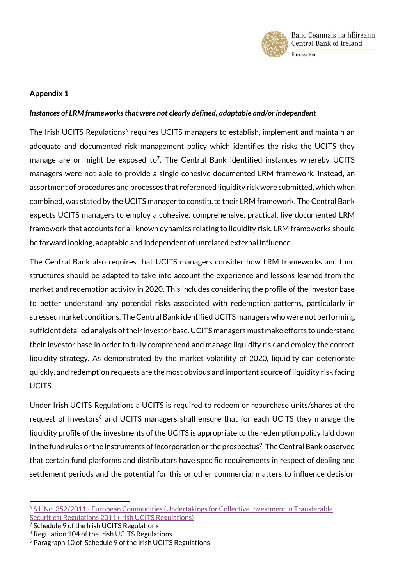

## **Appendix 1**

### *Instances of LRM frameworks that were not clearly defined, adaptable and/or independent*

The Irish UCITS Regulations<sup>6</sup> requires UCITS managers to establish, implement and maintain an adequate and documented risk management policy which identifies the risks the UCITS they manage are or might be exposed to<sup>7</sup>. The Central Bank identified instances whereby UCITS managers were not able to provide a single cohesive documented LRM framework. Instead, an assortment of procedures and processes that referenced liquidity risk were submitted, which when combined, was stated by the UCITS manager to constitute their LRM framework. The Central Bank expects UCITS managers to employ a cohesive, comprehensive, practical, live documented LRM framework that accounts for all known dynamics relating to liquidity risk. LRM frameworks should be forward looking, adaptable and independent of unrelated external influence.

The Central Bank also requires that UCITS managers consider how LRM frameworks and fund structures should be adapted to take into account the experience and lessons learned from the market and redemption activity in 2020. This includes considering the profile of the investor base to better understand any potential risks associated with redemption patterns, particularly in stressed market conditions. The Central Bank identified UCITS managers who were not performing sufficient detailed analysis of their investor base. UCITS managers must make efforts to understand their investor base in order to fully comprehend and manage liquidity risk and employ the correct liquidity strategy. As demonstrated by the market volatility of 2020, liquidity can deteriorate quickly, and redemption requests are the most obvious and important source of liquidity risk facing UCITS.

Under Irish UCITS Regulations a UCITS is required to redeem or repurchase units/shares at the request of investors<sup>8</sup> and UCITS managers shall ensure that for each UCITS they manage the liquidity profile of the investments of the UCITS is appropriate to the redemption policy laid down in the fund rules or the instruments of incorporation or the prospectus $\textdegree$ . The Central Bank observed that certain fund platforms and distributors have specific requirements in respect of dealing and settlement periods and the potential for this or other commercial matters to influence decision

<sup>6</sup> S.I. No. 352/2011 - [European Communities \(Undertakings for Collective Investment in Transferable](http://www.irishstatutebook.ie/eli/2011/si/352/made/en/print)  [Securities\) Regulations 2011 \(Irish UCITS Regulations\)](http://www.irishstatutebook.ie/eli/2011/si/352/made/en/print)

<sup>&</sup>lt;sup>7</sup> Schedule 9 of the Irish UCITS Regulations

<sup>8</sup> Regulation 104 of the Irish UCITS Regulations

<sup>9</sup> Paragraph 10 of Schedule 9 of the Irish UCITS Regulations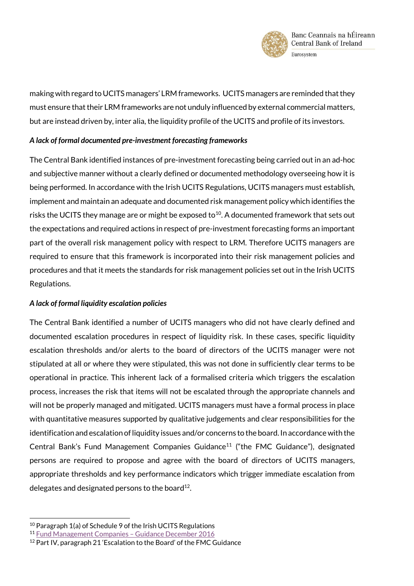

making with regard to UCITS managers' LRM frameworks. UCITS managers are reminded that they must ensure that their LRM frameworks are not unduly influenced by external commercial matters, but are instead driven by, inter alia, the liquidity profile of the UCITS and profile of its investors.

### *A lack of formal documented pre-investment forecasting frameworks*

The Central Bank identified instances of pre-investment forecasting being carried out in an ad-hoc and subjective manner without a clearly defined or documented methodology overseeing how it is being performed. In accordance with the Irish UCITS Regulations, UCITS managers must establish, implement and maintain an adequate and documented risk management policy which identifies the risks the UCITS they manage are or might be exposed to $^{10}$ . A documented framework that sets out the expectations and required actions in respect of pre-investment forecasting forms an important part of the overall risk management policy with respect to LRM. Therefore UCITS managers are required to ensure that this framework is incorporated into their risk management policies and procedures and that it meets the standards for risk management policies set out in the Irish UCITS Regulations.

# *A lack of formal liquidity escalation policies*

The Central Bank identified a number of UCITS managers who did not have clearly defined and documented escalation procedures in respect of liquidity risk. In these cases, specific liquidity escalation thresholds and/or alerts to the board of directors of the UCITS manager were not stipulated at all or where they were stipulated, this was not done in sufficiently clear terms to be operational in practice. This inherent lack of a formalised criteria which triggers the escalation process, increases the risk that items will not be escalated through the appropriate channels and will not be properly managed and mitigated. UCITS managers must have a formal process in place with quantitative measures supported by qualitative judgements and clear responsibilities for the identification and escalation of liquidity issues and/or concerns to the board. In accordance with the Central Bank's Fund Management Companies Guidance<sup>11</sup> ("the FMC Guidance"), designated persons are required to propose and agree with the board of directors of UCITS managers, appropriate thresholds and key performance indicators which trigger immediate escalation from delegates and designated persons to the board $^{12}$ .

<sup>&</sup>lt;sup>10</sup> Paragraph 1(a) of Schedule 9 of the Irish UCITS Regulations

<sup>11</sup> [Fund Management Companies](https://www.centralbank.ie/docs/default-source/regulation/industry-market-sectors/funds/ucits/guidance/fund-mancos-guidance.pdf?sfvrsn=4) – Guidance December 2016

<sup>&</sup>lt;sup>12</sup> Part IV, paragraph 21 'Escalation to the Board' of the FMC Guidance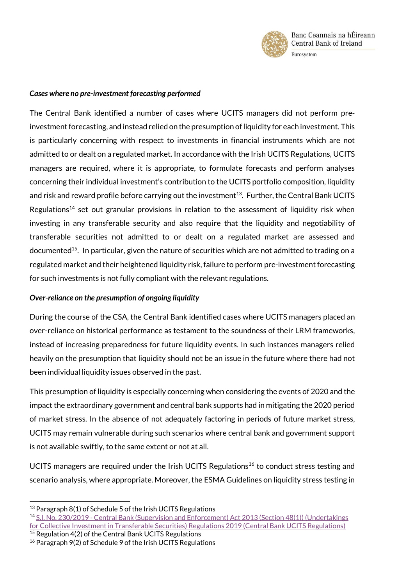

#### *Cases where no pre-investment forecasting performed*

The Central Bank identified a number of cases where UCITS managers did not perform preinvestment forecasting, and instead relied on the presumption of liquidity for each investment. This is particularly concerning with respect to investments in financial instruments which are not admitted to or dealt on a regulated market. In accordance with the Irish UCITS Regulations, UCITS managers are required, where it is appropriate, to formulate forecasts and perform analyses concerning their individual investment's contribution to the UCITS portfolio composition, liquidity and risk and reward profile before carrying out the investment $^{13}$ . Further, the Central Bank UCITS Regulations<sup>14</sup> set out granular provisions in relation to the assessment of liquidity risk when investing in any transferable security and also require that the liquidity and negotiability of transferable securities not admitted to or dealt on a regulated market are assessed and documented<sup>15</sup>. In particular, given the nature of securities which are not admitted to trading on a regulated market and their heightened liquidity risk, failure to perform pre-investment forecasting for such investments is not fully compliant with the relevant regulations.

### *Over-reliance on the presumption of ongoing liquidity*

During the course of the CSA, the Central Bank identified cases where UCITS managers placed an over-reliance on historical performance as testament to the soundness of their LRM frameworks, instead of increasing preparedness for future liquidity events. In such instances managers relied heavily on the presumption that liquidity should not be an issue in the future where there had not been individual liquidity issues observed in the past.

This presumption of liquidity is especially concerning when considering the events of 2020 and the impact the extraordinary government and central bank supports had in mitigating the 2020 period of market stress. In the absence of not adequately factoring in periods of future market stress, UCITS may remain vulnerable during such scenarios where central bank and government support is not available swiftly, to the same extent or not at all.

UCITS managers are required under the Irish UCITS Regulations<sup>16</sup> to conduct stress testing and scenario analysis, where appropriate. Moreover, the ESMA Guidelines on liquidity stress testing in

 $13$  Paragraph 8(1) of Schedule 5 of the Irish UCITS Regulations

<sup>14</sup> S.I. No. 230/2019 - Central [Bank \(Supervision and Enforcement\) Act 2013 \(Section 48\(1\)\) \(Undertakings](http://www.irishstatutebook.ie/eli/2019/si/230/made/en/print?q=230http://www.irishstatutebook.ie/eli/2019/si/230/made/en/print?q=230)  [for Collective Investment in Transferable Securities\) Regulations 2019 \(Central Bank UCITS Regulations\)](http://www.irishstatutebook.ie/eli/2019/si/230/made/en/print?q=230http://www.irishstatutebook.ie/eli/2019/si/230/made/en/print?q=230) <sup>15</sup> Regulation 4(2) of the Central Bank UCITS Regulations

<sup>16</sup> Paragraph 9(2) of Schedule 9 of the Irish UCITS Regulations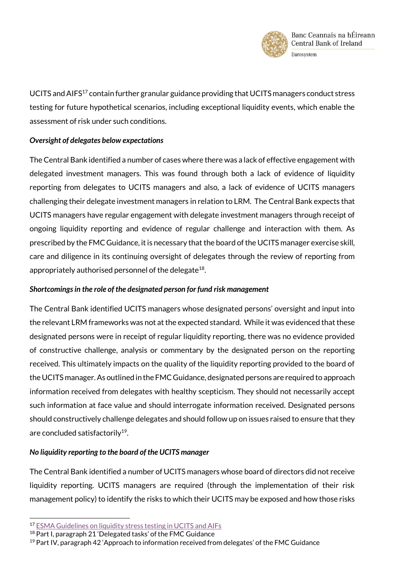

UCITS and AIFS<sup>17</sup> contain further granular guidance providing that UCITS managers conduct stress testing for future hypothetical scenarios, including exceptional liquidity events, which enable the assessment of risk under such conditions.

### *Oversight of delegates below expectations*

The Central Bank identified a number of cases where there was a lack of effective engagement with delegated investment managers. This was found through both a lack of evidence of liquidity reporting from delegates to UCITS managers and also, a lack of evidence of UCITS managers challenging their delegate investment managers in relation to LRM. The Central Bank expects that UCITS managers have regular engagement with delegate investment managers through receipt of ongoing liquidity reporting and evidence of regular challenge and interaction with them. As prescribed by the FMC Guidance, it is necessary that the board of the UCITS manager exercise skill, care and diligence in its continuing oversight of delegates through the review of reporting from appropriately authorised personnel of the delegate<sup>18</sup>.

## *Shortcomings in the role of the designated person for fund risk management*

The Central Bank identified UCITS managers whose designated persons' oversight and input into the relevant LRM frameworks was not at the expected standard. While it was evidenced that these designated persons were in receipt of regular liquidity reporting, there was no evidence provided of constructive challenge, analysis or commentary by the designated person on the reporting received. This ultimately impacts on the quality of the liquidity reporting provided to the board of the UCITS manager. As outlined in the FMC Guidance, designated persons are required to approach information received from delegates with healthy scepticism. They should not necessarily accept such information at face value and should interrogate information received. Designated persons should constructively challenge delegates and should follow up on issues raised to ensure that they are concluded satisfactorily $^{19}$ .

# *No liquidity reporting to the board of the UCITS manager*

The Central Bank identified a number of UCITS managers whose board of directors did not receive liquidity reporting. UCITS managers are required (through the implementation of their risk management policy) to identify the risks to which their UCITS may be exposed and how those risks

<sup>17</sup> [ESMA Guidelines on liquidity stress testing in UCITS and AIFs](https://www.esma.europa.eu/sites/default/files/library/esma34-39-897_guidelines_on_liquidity_stress_testing_in_ucits_and_aifs_en.pdf)

<sup>18</sup> Part I, paragraph 21 'Delegated tasks' of the FMC Guidance

 $19$  Part IV, paragraph 42 'Approach to information received from delegates' of the FMC Guidance